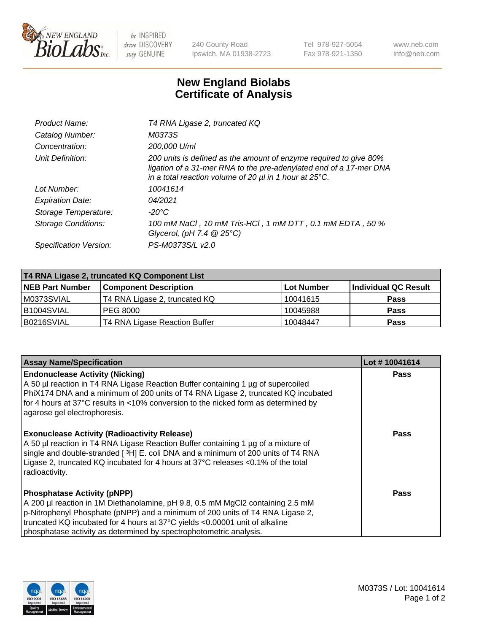

 $be$  INSPIRED drive DISCOVERY stay GENUINE

240 County Road Ipswich, MA 01938-2723 Tel 978-927-5054 Fax 978-921-1350 www.neb.com info@neb.com

## **New England Biolabs Certificate of Analysis**

| Product Name:              | T4 RNA Ligase 2, truncated KQ                                                                                                                                                                                    |
|----------------------------|------------------------------------------------------------------------------------------------------------------------------------------------------------------------------------------------------------------|
| Catalog Number:            | M0373S                                                                                                                                                                                                           |
| Concentration:             | 200,000 U/ml                                                                                                                                                                                                     |
| Unit Definition:           | 200 units is defined as the amount of enzyme required to give 80%<br>ligation of a 31-mer RNA to the pre-adenylated end of a 17-mer DNA<br>in a total reaction volume of 20 $\mu$ l in 1 hour at 25 $\degree$ C. |
| Lot Number:                | 10041614                                                                                                                                                                                                         |
| <b>Expiration Date:</b>    | 04/2021                                                                                                                                                                                                          |
| Storage Temperature:       | -20°C                                                                                                                                                                                                            |
| <b>Storage Conditions:</b> | 100 mM NaCl, 10 mM Tris-HCl, 1 mM DTT, 0.1 mM EDTA, 50 %<br>Glycerol, (pH 7.4 $@25°C$ )                                                                                                                          |
| Specification Version:     | PS-M0373S/L v2.0                                                                                                                                                                                                 |

| T4 RNA Ligase 2, truncated KQ Component List |                               |            |                      |  |
|----------------------------------------------|-------------------------------|------------|----------------------|--|
| <b>NEB Part Number</b>                       | <b>Component Description</b>  | Lot Number | Individual QC Result |  |
| M0373SVIAL                                   | T4 RNA Ligase 2, truncated KQ | 10041615   | <b>Pass</b>          |  |
| B1004SVIAL                                   | PEG 8000                      | 10045988   | <b>Pass</b>          |  |
| B0216SVIAL                                   | T4 RNA Ligase Reaction Buffer | 10048447   | <b>Pass</b>          |  |

| <b>Assay Name/Specification</b>                                                                                                                                                                                                                                                                                                                            | Lot #10041614 |
|------------------------------------------------------------------------------------------------------------------------------------------------------------------------------------------------------------------------------------------------------------------------------------------------------------------------------------------------------------|---------------|
| <b>Endonuclease Activity (Nicking)</b><br>A 50 µl reaction in T4 RNA Ligase Reaction Buffer containing 1 µg of supercoiled<br>PhiX174 DNA and a minimum of 200 units of T4 RNA Ligase 2, truncated KQ incubated<br>for 4 hours at 37°C results in <10% conversion to the nicked form as determined by<br>agarose gel electrophoresis.                      | <b>Pass</b>   |
| <b>Exonuclease Activity (Radioactivity Release)</b><br>A 50 µl reaction in T4 RNA Ligase Reaction Buffer containing 1 µg of a mixture of<br>single and double-stranded [3H] E. coli DNA and a minimum of 200 units of T4 RNA<br>Ligase 2, truncated KQ incubated for 4 hours at 37°C releases <0.1% of the total<br>radioactivity.                         | Pass          |
| <b>Phosphatase Activity (pNPP)</b><br>A 200 µl reaction in 1M Diethanolamine, pH 9.8, 0.5 mM MgCl2 containing 2.5 mM<br>p-Nitrophenyl Phosphate (pNPP) and a minimum of 200 units of T4 RNA Ligase 2,<br>truncated KQ incubated for 4 hours at 37°C yields <0.00001 unit of alkaline<br>phosphatase activity as determined by spectrophotometric analysis. | Pass          |